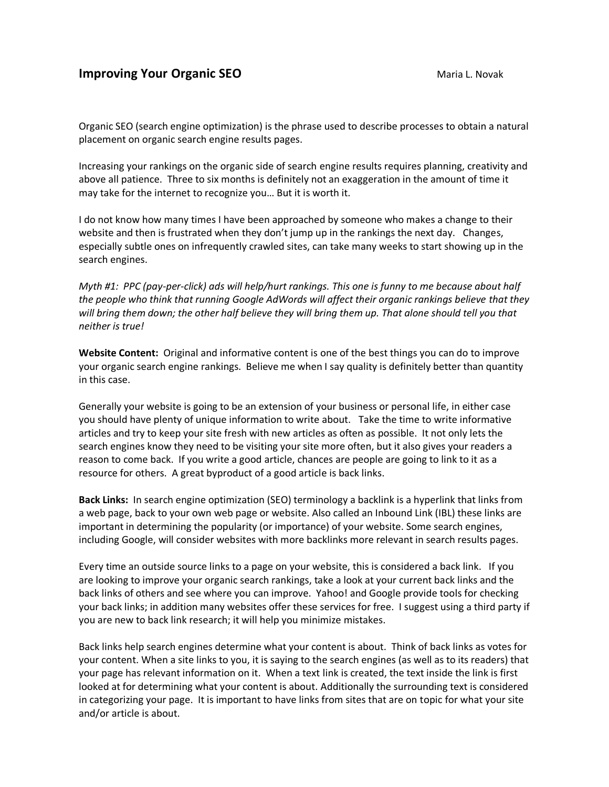# **Improving Your Organic SEO** Maria L. Novak

Organic SEO (search engine optimization) is the phrase used to describe processes to obtain a natural placement on organic search engine results pages.

Increasing your rankings on the organic side of search engine results requires planning, creativity and above all patience. Three to six months is definitely not an exaggeration in the amount of time it may take for the internet to recognize you… But it is worth it.

I do not know how many times I have been approached by someone who makes a change to their website and then is frustrated when they don't jump up in the rankings the next day. Changes, especially subtle ones on infrequently crawled sites, can take many weeks to start showing up in the search engines.

*Myth #1: PPC (pay-per-click) ads will help/hurt rankings. This one is funny to me because about half the people who think that running Google AdWords will affect their organic rankings believe that they will bring them down; the other half believe they will bring them up. That alone should tell you that neither is true!*

**Website Content:** Original and informative content is one of the best things you can do to improve your organic search engine rankings. Believe me when I say quality is definitely better than quantity in this case.

Generally your website is going to be an extension of your business or personal life, in either case you should have plenty of unique information to write about. Take the time to write informative articles and try to keep your site fresh with new articles as often as possible. It not only lets the search engines know they need to be visiting your site more often, but it also gives your readers a reason to come back. If you write a good article, chances are people are going to link to it as a resource for others. A great byproduct of a good article is back links.

**Back Links:** In search engine optimization (SEO) terminology a backlink is a hyperlink that links from a web page, back to your own web page or website. Also called an Inbound Link (IBL) these links are important in determining the popularity (or importance) of your website. Some search engines, including Google, will consider websites with more backlinks more relevant in search results pages.

Every time an outside source links to a page on your website, this is considered a back link. If you are looking to improve your organic search rankings, take a look at your current back links and the back links of others and see where you can improve. Yahoo! and Google provide tools for checking your back links; in addition many websites offer these services for free. I suggest using a third party if you are new to back link research; it will help you minimize mistakes.

Back links help search engines determine what your content is about. Think of back links as votes for your content. When a site links to you, it is saying to the search engines (as well as to its readers) that your page has relevant information on it. When a text link is created, the text inside the link is first looked at for determining what your content is about. Additionally the surrounding text is considered in categorizing your page. It is important to have links from sites that are on topic for what your site and/or article is about.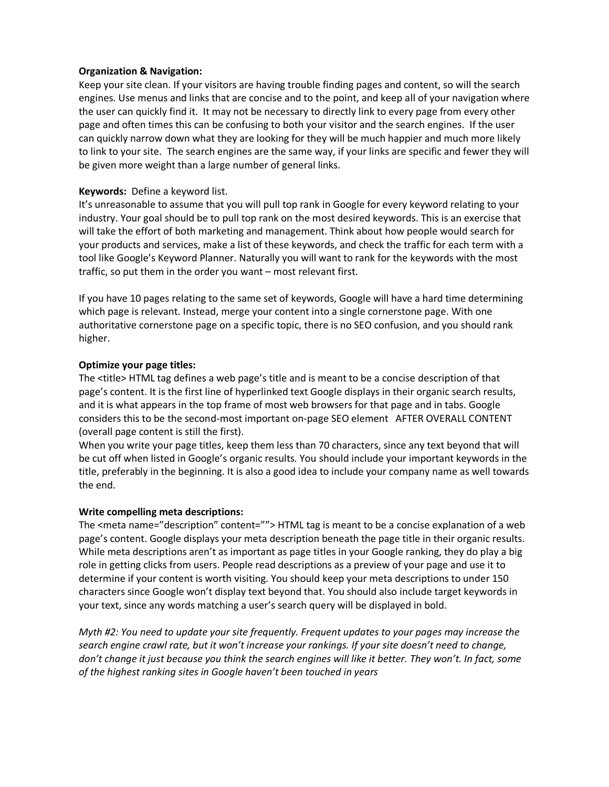## **Organization & Navigation:**

Keep your site clean. If your visitors are having trouble finding pages and content, so will the search engines. Use menus and links that are concise and to the point, and keep all of your navigation where the user can quickly find it. It may not be necessary to directly link to every page from every other page and often times this can be confusing to both your visitor and the search engines. If the user can quickly narrow down what they are looking for they will be much happier and much more likely to link to your site. The search engines are the same way, if your links are specific and fewer they will be given more weight than a large number of general links.

# **Keywords:** Define a keyword list.

It's unreasonable to assume that you will pull top rank in Google for every keyword relating to your industry. Your goal should be to pull top rank on the most desired keywords. This is an exercise that will take the effort of both marketing and management. Think about how people would search for your products and services, make a list of these keywords, and check the traffic for each term with a tool like Google's Keyword Planner. Naturally you will want to rank for the keywords with the most traffic, so put them in the order you want – most relevant first.

If you have 10 pages relating to the same set of keywords, Google will have a hard time determining which page is relevant. Instead, merge your content into a single cornerstone page. With one authoritative cornerstone page on a specific topic, there is no SEO confusion, and you should rank higher.

## **Optimize your page titles:**

The <title> HTML tag defines a web page's title and is meant to be a concise description of that page's content. It is the first line of hyperlinked text Google displays in their organic search results, and it is what appears in the top frame of most web browsers for that page and in tabs. Google considers this to be the second-most important on-page SEO element AFTER OVERALL CONTENT (overall page content is still the first).

When you write your page titles, keep them less than 70 characters, since any text beyond that will be cut off when listed in Google's organic results. You should include your important keywords in the title, preferably in the beginning. It is also a good idea to include your company name as well towards the end.

#### **Write compelling meta descriptions:**

The <meta name="description" content=""> HTML tag is meant to be a concise explanation of a web page's content. Google displays your meta description beneath the page title in their organic results. While meta descriptions aren't as important as page titles in your Google ranking, they do play a big role in getting clicks from users. People read descriptions as a preview of your page and use it to determine if your content is worth visiting. You should keep your meta descriptions to under 150 characters since Google won't display text beyond that. You should also include target keywords in your text, since any words matching a user's search query will be displayed in bold.

*Myth #2: You need to update your site frequently. Frequent updates to your pages may increase the search engine crawl rate, but it won't increase your rankings. If your site doesn't need to change, don't change it just because you think the search engines will like it better. They won't. In fact, some of the highest ranking sites in Google haven't been touched in years*